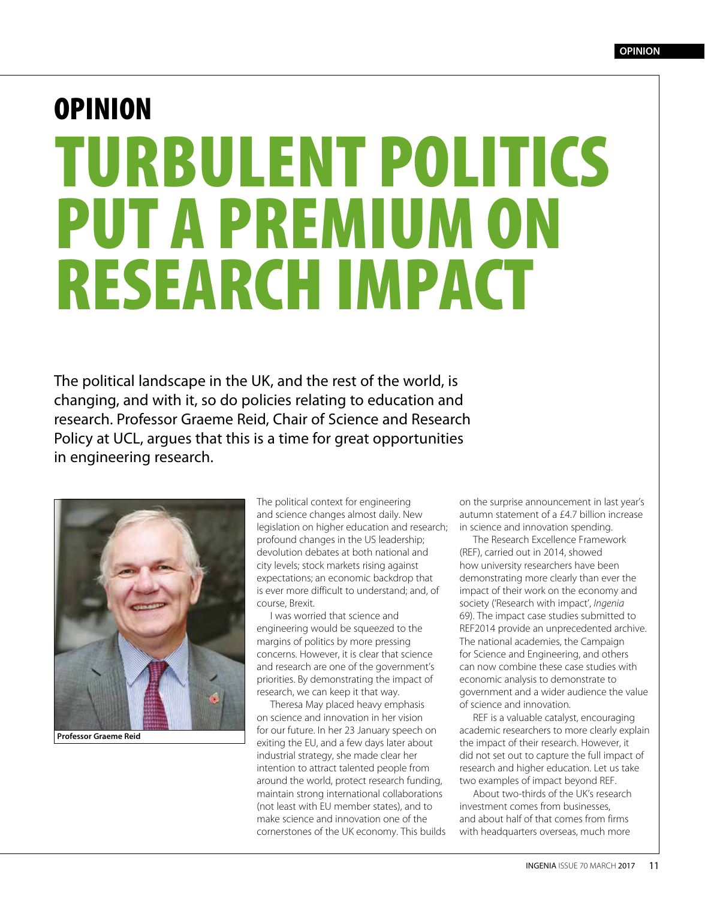## OPINION TURBULENT POLITICS PUT A PREMIUM ON RESEARCH IMPACT

The political landscape in the UK, and the rest of the world, is changing, and with it, so do policies relating to education and research. Professor Graeme Reid, Chair of Science and Research Policy at UCL, argues that this is a time for great opportunities in engineering research.



**Professor Graeme Reid**

The political context for engineering and science changes almost daily. New legislation on higher education and research; profound changes in the US leadership; devolution debates at both national and city levels; stock markets rising against expectations; an economic backdrop that is ever more difficult to understand; and, of course, Brexit.

I was worried that science and engineering would be squeezed to the margins of politics by more pressing concerns. However, it is clear that science and research are one of the government's priorities. By demonstrating the impact of research, we can keep it that way.

Theresa May placed heavy emphasis on science and innovation in her vision for our future. In her 23 January speech on exiting the EU, and a few days later about industrial strategy, she made clear her intention to attract talented people from around the world, protect research funding, maintain strong international collaborations (not least with EU member states), and to make science and innovation one of the cornerstones of the UK economy. This builds on the surprise announcement in last year's autumn statement of a £4.7 billion increase in science and innovation spending.

The Research Excellence Framework (REF), carried out in 2014, showed how university researchers have been demonstrating more clearly than ever the impact of their work on the economy and society ('Research with impact', *Ingenia* 69). The impact case studies submitted to REF2014 provide an unprecedented archive. The national academies, the Campaign for Science and Engineering, and others can now combine these case studies with economic analysis to demonstrate to government and a wider audience the value of science and innovation.

REF is a valuable catalyst, encouraging academic researchers to more clearly explain the impact of their research. However, it did not set out to capture the full impact of research and higher education. Let us take two examples of impact beyond REF.

About two-thirds of the UK's research investment comes from businesses, and about half of that comes from firms with headquarters overseas, much more